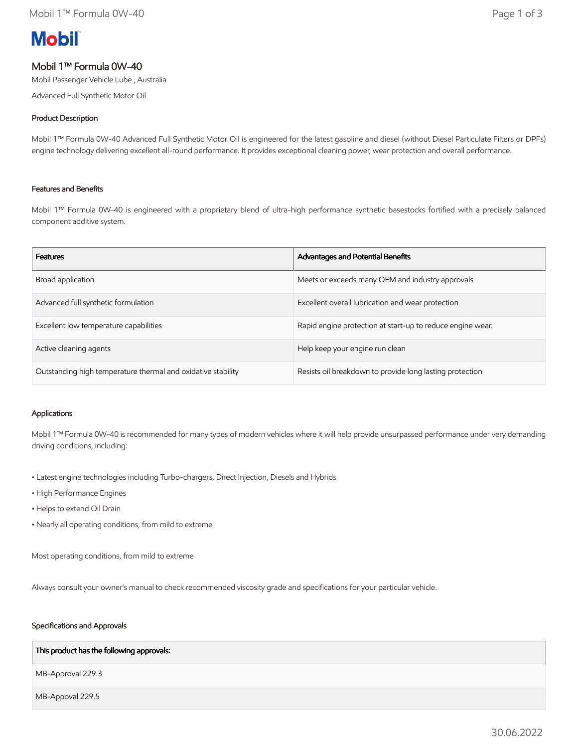# **Mobil**

# Mobil 1™ Formula 0W-40

Mobil Passenger Vehicle Lube , Australia

Advanced Full Synthetic Motor Oil

### Product Description

Mobil 1™ Formula 0W-40 Advanced Full Synthetic Motor Oil is engineered for the latest gasoline and diesel (without Diesel Particulate Filters or DPFs) engine technology delivering excellent all-round performance. It provides exceptional cleaning power, wear protection and overall performance.

#### Features and Benefits

Mobil 1™ Formula 0W-40 is engineered with a proprietary blend of ultra-high performance synthetic basestocks fortified with a precisely balanced component additive system.

| <b>Features</b>                                              | <b>Advantages and Potential Benefits</b>                   |
|--------------------------------------------------------------|------------------------------------------------------------|
| Broad application                                            | Meets or exceeds many OEM and industry approvals           |
| Advanced full synthetic formulation                          | Excellent overall lubrication and wear protection          |
| Excellent low temperature capabilities                       | Rapid engine protection at start-up to reduce engine wear. |
| Active cleaning agents                                       | Help keep your engine run clean                            |
| Outstanding high temperature thermal and oxidative stability | Resists oil breakdown to provide long lasting protection   |

## Applications

Mobil 1™ Formula 0W-40 is recommended for many types of modern vehicles where it will help provide unsurpassed performance under very demanding driving conditions, including:

- Latest engine technologies including Turbo-chargers, Direct Injection, Diesels and Hybrids
- High Performance Engines
- Helps to extend Oil Drain
- Nearly all operating conditions, from mild to extreme

Most operating conditions, from mild to extreme

Always consult your owner's manual to check recommended viscosity grade and specifications for your particular vehicle.

#### Specifications and Approvals

#### This product has the following approvals:

MB-Approval 229.3

MB-Appoval 229.5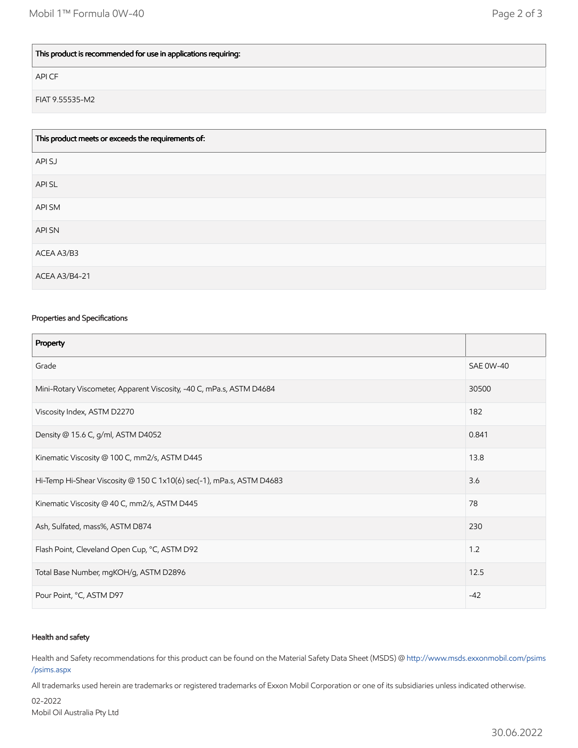## This product is recommended for use in applications requiring:

API CF

FIAT 9.55535-M2

| This product meets or exceeds the requirements of: |
|----------------------------------------------------|
| API SJ                                             |
| API SL                                             |
| API SM                                             |
| <b>APISN</b>                                       |
| ACEA A3/B3                                         |
| <b>ACEA A3/B4-21</b>                               |

#### Properties and Specifications

| Property                                                              |                  |
|-----------------------------------------------------------------------|------------------|
| Grade                                                                 | <b>SAE 0W-40</b> |
| Mini-Rotary Viscometer, Apparent Viscosity, -40 C, mPa.s, ASTM D4684  | 30500            |
| Viscosity Index, ASTM D2270                                           | 182              |
| Density @ 15.6 C, g/ml, ASTM D4052                                    | 0.841            |
| Kinematic Viscosity @ 100 C, mm2/s, ASTM D445                         | 13.8             |
| Hi-Temp Hi-Shear Viscosity @ 150 C 1x10(6) sec(-1), mPa.s, ASTM D4683 | 3.6              |
| Kinematic Viscosity @ 40 C, mm2/s, ASTM D445                          | 78               |
| Ash, Sulfated, mass%, ASTM D874                                       | 230              |
| Flash Point, Cleveland Open Cup, °C, ASTM D92                         | 1.2              |
| Total Base Number, mgKOH/g, ASTM D2896                                | 12.5             |
| Pour Point, °C, ASTM D97                                              | $-42$            |

#### Health and safety

Health and Safety recommendations for this product can be found on the Material Safety Data Sheet (MSDS) @ [http://www.msds.exxonmobil.com/psims](http://www.msds.exxonmobil.com/psims/psims.aspx) /psims.aspx

All trademarks used herein are trademarks or registered trademarks of Exxon Mobil Corporation or one of its subsidiaries unless indicated otherwise.

02-2022 Mobil Oil Australia Pty Ltd